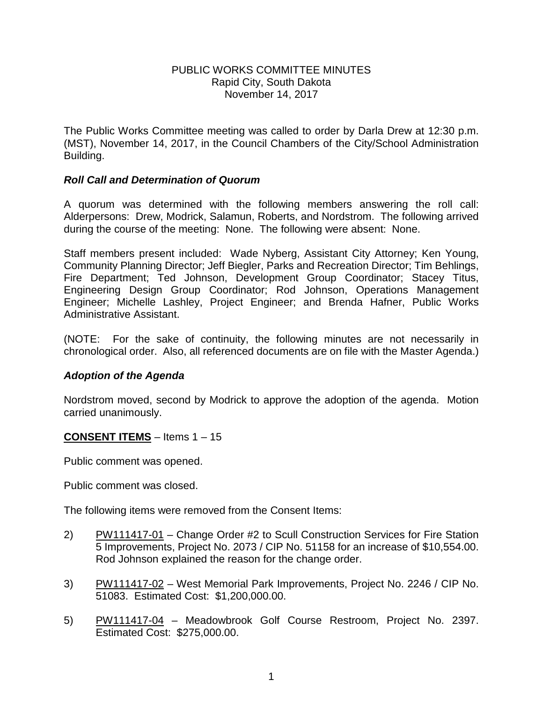#### PUBLIC WORKS COMMITTEE MINUTES Rapid City, South Dakota November 14, 2017

The Public Works Committee meeting was called to order by Darla Drew at 12:30 p.m. (MST), November 14, 2017, in the Council Chambers of the City/School Administration Building.

### *Roll Call and Determination of Quorum*

A quorum was determined with the following members answering the roll call: Alderpersons: Drew, Modrick, Salamun, Roberts, and Nordstrom. The following arrived during the course of the meeting: None. The following were absent: None.

Staff members present included: Wade Nyberg, Assistant City Attorney; Ken Young, Community Planning Director; Jeff Biegler, Parks and Recreation Director; Tim Behlings, Fire Department; Ted Johnson, Development Group Coordinator; Stacey Titus, Engineering Design Group Coordinator; Rod Johnson, Operations Management Engineer; Michelle Lashley, Project Engineer; and Brenda Hafner, Public Works Administrative Assistant.

(NOTE: For the sake of continuity, the following minutes are not necessarily in chronological order. Also, all referenced documents are on file with the Master Agenda.)

### *Adoption of the Agenda*

Nordstrom moved, second by Modrick to approve the adoption of the agenda. Motion carried unanimously.

### **CONSENT ITEMS** – Items 1 – 15

Public comment was opened.

Public comment was closed.

The following items were removed from the Consent Items:

- 2) PW111417-01 Change Order #2 to Scull Construction Services for Fire Station 5 Improvements, Project No. 2073 / CIP No. 51158 for an increase of \$10,554.00. Rod Johnson explained the reason for the change order.
- 3) PW111417-02 West Memorial Park Improvements, Project No. 2246 / CIP No. 51083. Estimated Cost: \$1,200,000.00.
- 5) PW111417-04 Meadowbrook Golf Course Restroom, Project No. 2397. Estimated Cost: \$275,000.00.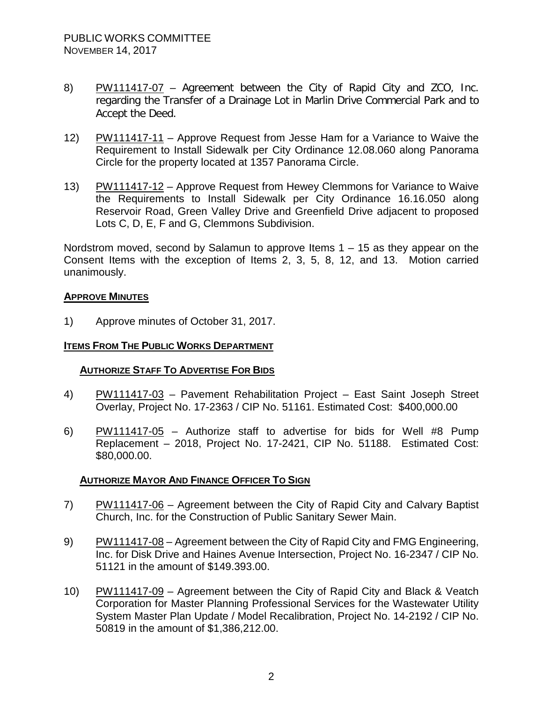- 8) PW111417-07 Agreement between the City of Rapid City and ZCO, Inc. regarding the Transfer of a Drainage Lot in Marlin Drive Commercial Park and to Accept the Deed.
- 12) PW111417-11 Approve Request from Jesse Ham for a Variance to Waive the Requirement to Install Sidewalk per City Ordinance 12.08.060 along Panorama Circle for the property located at 1357 Panorama Circle.
- 13) PW111417-12 Approve Request from Hewey Clemmons for Variance to Waive the Requirements to Install Sidewalk per City Ordinance 16.16.050 along Reservoir Road, Green Valley Drive and Greenfield Drive adjacent to proposed Lots C, D, E, F and G, Clemmons Subdivision.

Nordstrom moved, second by Salamun to approve Items 1 – 15 as they appear on the Consent Items with the exception of Items 2, 3, 5, 8, 12, and 13. Motion carried unanimously.

### **APPROVE MINUTES**

1) Approve minutes of October 31, 2017.

## **ITEMS FROM THE PUBLIC WORKS DEPARTMENT**

# **AUTHORIZE STAFF TO ADVERTISE FOR BIDS**

- 4) PW111417-03 Pavement Rehabilitation Project East Saint Joseph Street Overlay, Project No. 17-2363 / CIP No. 51161. Estimated Cost: \$400,000.00
- 6) PW111417-05 Authorize staff to advertise for bids for Well #8 Pump Replacement – 2018, Project No. 17-2421, CIP No. 51188. Estimated Cost: \$80,000.00.

### **AUTHORIZE MAYOR AND FINANCE OFFICER TO SIGN**

- 7) PW111417-06 Agreement between the City of Rapid City and Calvary Baptist Church, Inc. for the Construction of Public Sanitary Sewer Main.
- 9) PW111417-08 Agreement between the City of Rapid City and FMG Engineering, Inc. for Disk Drive and Haines Avenue Intersection, Project No. 16-2347 / CIP No. 51121 in the amount of \$149.393.00.
- 10) PW111417-09 Agreement between the City of Rapid City and Black & Veatch Corporation for Master Planning Professional Services for the Wastewater Utility System Master Plan Update / Model Recalibration, Project No. 14-2192 / CIP No. 50819 in the amount of \$1,386,212.00.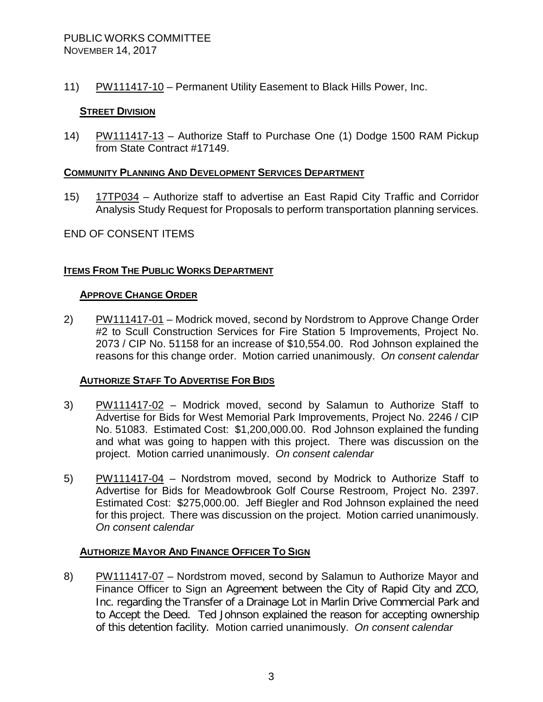11) PW111417-10 – Permanent Utility Easement to Black Hills Power, Inc.

## **STREET DIVISION**

14) PW111417-13 - Authorize Staff to Purchase One (1) Dodge 1500 RAM Pickup from State Contract #17149.

### **COMMUNITY PLANNING AND DEVELOPMENT SERVICES DEPARTMENT**

15) 17TP034 – Authorize staff to advertise an East Rapid City Traffic and Corridor Analysis Study Request for Proposals to perform transportation planning services.

### END OF CONSENT ITEMS

# **ITEMS FROM THE PUBLIC WORKS DEPARTMENT**

#### **APPROVE CHANGE ORDER**

2) PW111417-01 – Modrick moved, second by Nordstrom to Approve Change Order #2 to Scull Construction Services for Fire Station 5 Improvements, Project No. 2073 / CIP No. 51158 for an increase of \$10,554.00. Rod Johnson explained the reasons for this change order. Motion carried unanimously. *On consent calendar*

### **AUTHORIZE STAFF TO ADVERTISE FOR BIDS**

- 3) PW111417-02 Modrick moved, second by Salamun to Authorize Staff to Advertise for Bids for West Memorial Park Improvements, Project No. 2246 / CIP No. 51083. Estimated Cost: \$1,200,000.00. Rod Johnson explained the funding and what was going to happen with this project. There was discussion on the project. Motion carried unanimously. *On consent calendar*
- 5) PW111417-04 Nordstrom moved, second by Modrick to Authorize Staff to Advertise for Bids for Meadowbrook Golf Course Restroom, Project No. 2397. Estimated Cost: \$275,000.00. Jeff Biegler and Rod Johnson explained the need for this project. There was discussion on the project. Motion carried unanimously. *On consent calendar*

### **AUTHORIZE MAYOR AND FINANCE OFFICER TO SIGN**

8) PW111417-07 – Nordstrom moved, second by Salamun to Authorize Mayor and Finance Officer to Sign an Agreement between the City of Rapid City and ZCO, Inc. regarding the Transfer of a Drainage Lot in Marlin Drive Commercial Park and to Accept the Deed. Ted Johnson explained the reason for accepting ownership of this detention facility. Motion carried unanimously. *On consent calendar*